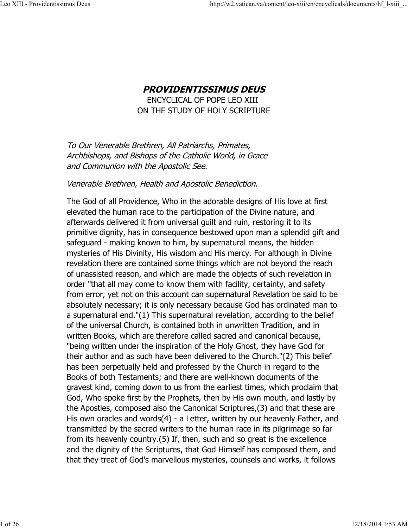# **PROVIDENTISSIMUS DEUS** ENCYCLICAL OF POPE LEO XIII ON THE STUDY OF HOLY SCRIPTURE

To Our Venerable Brethren, All Patriarchs, Primates, Archbishops, and Bishops of the Catholic World, in Grace and Communion with the Apostolic See.

#### Venerable Brethren, Health and Apostolic Benediction.

The God of all Providence, Who in the adorable designs of His love at first elevated the human race to the participation of the Divine nature, and afterwards delivered it from universal guilt and ruin, restoring it to its primitive dignity, has in consequence bestowed upon man a splendid gift and safeguard - making known to him, by supernatural means, the hidden mysteries of His Divinity, His wisdom and His mercy. For although in Divine revelation there are contained some things which are not beyond the reach of unassisted reason, and which are made the objects of such revelation in order "that all may come to know them with facility, certainty, and safety from error, yet not on this account can supernatural Revelation be said to be absolutely necessary; it is only necessary because God has ordinated man to a supernatural end."(1) This supernatural revelation, according to the belief of the universal Church, is contained both in unwritten Tradition, and in written Books, which are therefore called sacred and canonical because, "being written under the inspiration of the Holy Ghost, they have God for their author and as such have been delivered to the Church."(2) This belief has been perpetually held and professed by the Church in regard to the Books of both Testaments; and there are well-known documents of the gravest kind, coming down to us from the earliest times, which proclaim that God, Who spoke first by the Prophets, then by His own mouth, and lastly by the Apostles, composed also the Canonical Scriptures,(3) and that these are His own oracles and words(4) - a Letter, written by our heavenly Father, and transmitted by the sacred writers to the human race in its pilgrimage so far from its heavenly country.(5) If, then, such and so great is the excellence and the dignity of the Scriptures, that God Himself has composed them, and that they treat of God's marvellous mysteries, counsels and works, it follows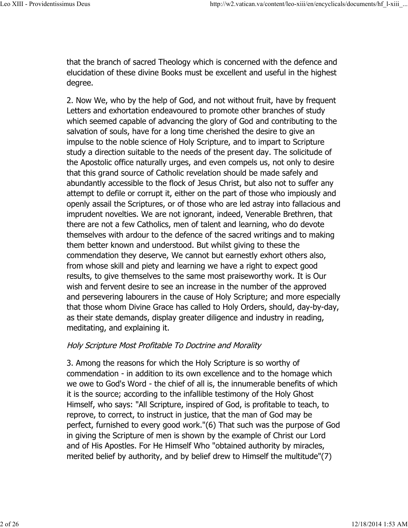that the branch of sacred Theology which is concerned with the defence and elucidation of these divine Books must be excellent and useful in the highest degree.

2. Now We, who by the help of God, and not without fruit, have by frequent Letters and exhortation endeavoured to promote other branches of study which seemed capable of advancing the glory of God and contributing to the salvation of souls, have for a long time cherished the desire to give an impulse to the noble science of Holy Scripture, and to impart to Scripture study a direction suitable to the needs of the present day. The solicitude of the Apostolic office naturally urges, and even compels us, not only to desire that this grand source of Catholic revelation should be made safely and abundantly accessible to the flock of Jesus Christ, but also not to suffer any attempt to defile or corrupt it, either on the part of those who impiously and openly assail the Scriptures, or of those who are led astray into fallacious and imprudent novelties. We are not ignorant, indeed, Venerable Brethren, that there are not a few Catholics, men of talent and learning, who do devote themselves with ardour to the defence of the sacred writings and to making them better known and understood. But whilst giving to these the commendation they deserve, We cannot but earnestly exhort others also, from whose skill and piety and learning we have a right to expect good results, to give themselves to the same most praiseworthy work. It is Our wish and fervent desire to see an increase in the number of the approved and persevering labourers in the cause of Holy Scripture; and more especially that those whom Divine Grace has called to Holy Orders, should, day-by-day, as their state demands, display greater diligence and industry in reading, meditating, and explaining it.

## Holy Scripture Most Profitable To Doctrine and Morality

3. Among the reasons for which the Holy Scripture is so worthy of commendation - in addition to its own excellence and to the homage which we owe to God's Word - the chief of all is, the innumerable benefits of which it is the source; according to the infallible testimony of the Holy Ghost Himself, who says: "All Scripture, inspired of God, is profitable to teach, to reprove, to correct, to instruct in justice, that the man of God may be perfect, furnished to every good work."(6) That such was the purpose of God in giving the Scripture of men is shown by the example of Christ our Lord and of His Apostles. For He Himself Who "obtained authority by miracles, merited belief by authority, and by belief drew to Himself the multitude"(7)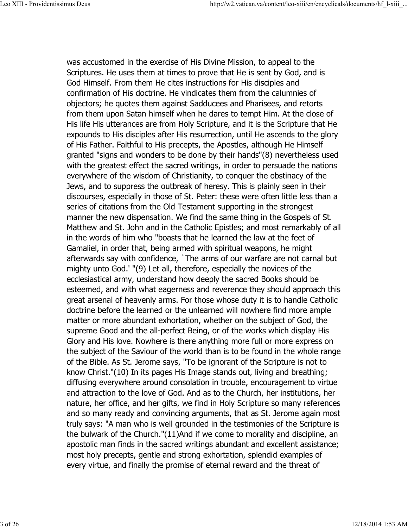was accustomed in the exercise of His Divine Mission, to appeal to the Scriptures. He uses them at times to prove that He is sent by God, and is God Himself. From them He cites instructions for His disciples and confirmation of His doctrine. He vindicates them from the calumnies of objectors; he quotes them against Sadducees and Pharisees, and retorts from them upon Satan himself when he dares to tempt Him. At the close of His life His utterances are from Holy Scripture, and it is the Scripture that He expounds to His disciples after His resurrection, until He ascends to the glory of His Father. Faithful to His precepts, the Apostles, although He Himself granted "signs and wonders to be done by their hands"(8) nevertheless used with the greatest effect the sacred writings, in order to persuade the nations everywhere of the wisdom of Christianity, to conquer the obstinacy of the Jews, and to suppress the outbreak of heresy. This is plainly seen in their discourses, especially in those of St. Peter: these were often little less than a series of citations from the Old Testament supporting in the strongest manner the new dispensation. We find the same thing in the Gospels of St. Matthew and St. John and in the Catholic Epistles; and most remarkably of all in the words of him who "boasts that he learned the law at the feet of Gamaliel, in order that, being armed with spiritual weapons, he might afterwards say with confidence, `The arms of our warfare are not carnal but mighty unto God.' "(9) Let all, therefore, especially the novices of the ecclesiastical army, understand how deeply the sacred Books should be esteemed, and with what eagerness and reverence they should approach this great arsenal of heavenly arms. For those whose duty it is to handle Catholic doctrine before the learned or the unlearned will nowhere find more ample matter or more abundant exhortation, whether on the subject of God, the supreme Good and the all-perfect Being, or of the works which display His Glory and His love. Nowhere is there anything more full or more express on the subject of the Saviour of the world than is to be found in the whole range of the Bible. As St. Jerome says, "To be ignorant of the Scripture is not to know Christ."(10) In its pages His Image stands out, living and breathing; diffusing everywhere around consolation in trouble, encouragement to virtue and attraction to the love of God. And as to the Church, her institutions, her nature, her office, and her gifts, we find in Holy Scripture so many references and so many ready and convincing arguments, that as St. Jerome again most truly says: "A man who is well grounded in the testimonies of the Scripture is the bulwark of the Church."(11)And if we come to morality and discipline, an apostolic man finds in the sacred writings abundant and excellent assistance; most holy precepts, gentle and strong exhortation, splendid examples of every virtue, and finally the promise of eternal reward and the threat of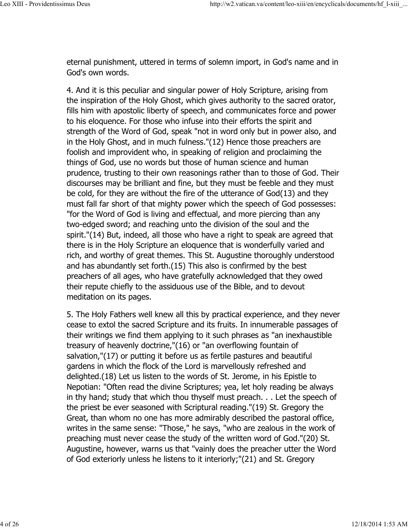eternal punishment, uttered in terms of solemn import, in God's name and in God's own words.

4. And it is this peculiar and singular power of Holy Scripture, arising from the inspiration of the Holy Ghost, which gives authority to the sacred orator, fills him with apostolic liberty of speech, and communicates force and power to his eloquence. For those who infuse into their efforts the spirit and strength of the Word of God, speak "not in word only but in power also, and in the Holy Ghost, and in much fulness."(12) Hence those preachers are foolish and improvident who, in speaking of religion and proclaiming the things of God, use no words but those of human science and human prudence, trusting to their own reasonings rather than to those of God. Their discourses may be brilliant and fine, but they must be feeble and they must be cold, for they are without the fire of the utterance of God(13) and they must fall far short of that mighty power which the speech of God possesses: "for the Word of God is living and effectual, and more piercing than any two-edged sword; and reaching unto the division of the soul and the spirit."(14) But, indeed, all those who have a right to speak are agreed that there is in the Holy Scripture an eloquence that is wonderfully varied and rich, and worthy of great themes. This St. Augustine thoroughly understood and has abundantly set forth.(15) This also is confirmed by the best preachers of all ages, who have gratefully acknowledged that they owed their repute chiefly to the assiduous use of the Bible, and to devout meditation on its pages.

5. The Holy Fathers well knew all this by practical experience, and they never cease to extol the sacred Scripture and its fruits. In innumerable passages of their writings we find them applying to it such phrases as "an inexhaustible treasury of heavenly doctrine,"(16) or "an overflowing fountain of salvation,"(17) or putting it before us as fertile pastures and beautiful gardens in which the flock of the Lord is marvellously refreshed and delighted.(18) Let us listen to the words of St. Jerome, in his Epistle to Nepotian: "Often read the divine Scriptures; yea, let holy reading be always in thy hand; study that which thou thyself must preach. . . Let the speech of the priest be ever seasoned with Scriptural reading."(19) St. Gregory the Great, than whom no one has more admirably described the pastoral office, writes in the same sense: "Those," he says, "who are zealous in the work of preaching must never cease the study of the written word of God."(20) St. Augustine, however, warns us that "vainly does the preacher utter the Word of God exteriorly unless he listens to it interiorly;"(21) and St. Gregory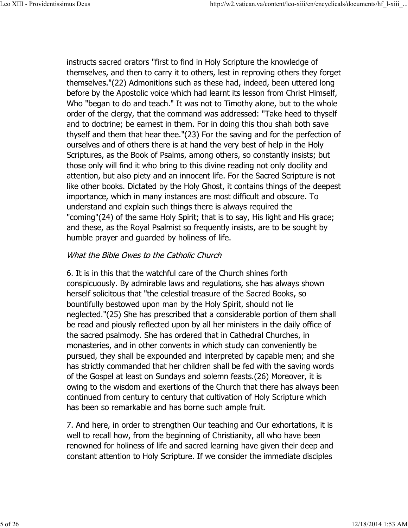instructs sacred orators "first to find in Holy Scripture the knowledge of themselves, and then to carry it to others, lest in reproving others they forget themselves."(22) Admonitions such as these had, indeed, been uttered long before by the Apostolic voice which had learnt its lesson from Christ Himself, Who "began to do and teach." It was not to Timothy alone, but to the whole order of the clergy, that the command was addressed: "Take heed to thyself and to doctrine; be earnest in them. For in doing this thou shah both save thyself and them that hear thee."(23) For the saving and for the perfection of ourselves and of others there is at hand the very best of help in the Holy Scriptures, as the Book of Psalms, among others, so constantly insists; but those only will find it who bring to this divine reading not only docility and attention, but also piety and an innocent life. For the Sacred Scripture is not like other books. Dictated by the Holy Ghost, it contains things of the deepest importance, which in many instances are most difficult and obscure. To understand and explain such things there is always required the "coming"(24) of the same Holy Spirit; that is to say, His light and His grace; and these, as the Royal Psalmist so frequently insists, are to be sought by humble prayer and guarded by holiness of life.

## What the Bible Owes to the Catholic Church

6. It is in this that the watchful care of the Church shines forth conspicuously. By admirable laws and regulations, she has always shown herself solicitous that "the celestial treasure of the Sacred Books, so bountifully bestowed upon man by the Holy Spirit, should not lie neglected."(25) She has prescribed that a considerable portion of them shall be read and piously reflected upon by all her ministers in the daily office of the sacred psalmody. She has ordered that in Cathedral Churches, in monasteries, and in other convents in which study can conveniently be pursued, they shall be expounded and interpreted by capable men; and she has strictly commanded that her children shall be fed with the saving words of the Gospel at least on Sundays and solemn feasts.(26) Moreover, it is owing to the wisdom and exertions of the Church that there has always been continued from century to century that cultivation of Holy Scripture which has been so remarkable and has borne such ample fruit.

7. And here, in order to strengthen Our teaching and Our exhortations, it is well to recall how, from the beginning of Christianity, all who have been renowned for holiness of life and sacred learning have given their deep and constant attention to Holy Scripture. If we consider the immediate disciples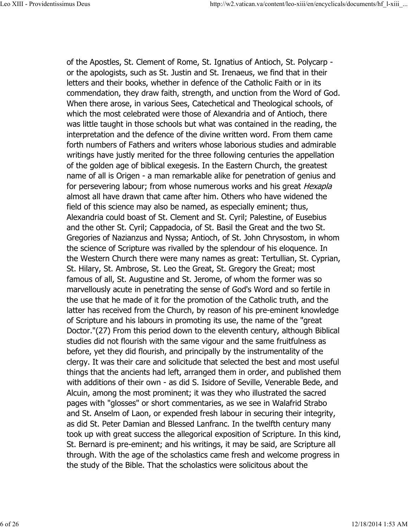of the Apostles, St. Clement of Rome, St. Ignatius of Antioch, St. Polycarp or the apologists, such as St. Justin and St. Irenaeus, we find that in their letters and their books, whether in defence of the Catholic Faith or in its commendation, they draw faith, strength, and unction from the Word of God. When there arose, in various Sees, Catechetical and Theological schools, of which the most celebrated were those of Alexandria and of Antioch, there was little taught in those schools but what was contained in the reading, the interpretation and the defence of the divine written word. From them came forth numbers of Fathers and writers whose laborious studies and admirable writings have justly merited for the three following centuries the appellation of the golden age of biblical exegesis. In the Eastern Church, the greatest name of all is Origen - a man remarkable alike for penetration of genius and for persevering labour; from whose numerous works and his great *Hexapla* almost all have drawn that came after him. Others who have widened the field of this science may also be named, as especially eminent; thus, Alexandria could boast of St. Clement and St. Cyril; Palestine, of Eusebius and the other St. Cyril; Cappadocia, of St. Basil the Great and the two St. Gregories of Nazianzus and Nyssa; Antioch, of St. John Chrysostom, in whom the science of Scripture was rivalled by the splendour of his eloquence. In the Western Church there were many names as great: Tertullian, St. Cyprian, St. Hilary, St. Ambrose, St. Leo the Great, St. Gregory the Great; most famous of all, St. Augustine and St. Jerome, of whom the former was so marvellously acute in penetrating the sense of God's Word and so fertile in the use that he made of it for the promotion of the Catholic truth, and the latter has received from the Church, by reason of his pre-eminent knowledge of Scripture and his labours in promoting its use, the name of the "great Doctor."(27) From this period down to the eleventh century, although Biblical studies did not flourish with the same vigour and the same fruitfulness as before, yet they did flourish, and principally by the instrumentality of the clergy. It was their care and solicitude that selected the best and most useful things that the ancients had left, arranged them in order, and published them with additions of their own - as did S. Isidore of Seville, Venerable Bede, and Alcuin, among the most prominent; it was they who illustrated the sacred pages with "glosses" or short commentaries, as we see in Walafrid Strabo and St. Anselm of Laon, or expended fresh labour in securing their integrity, as did St. Peter Damian and Blessed Lanfranc. In the twelfth century many took up with great success the allegorical exposition of Scripture. In this kind, St. Bernard is pre-eminent; and his writings, it may be said, are Scripture all through. With the age of the scholastics came fresh and welcome progress in the study of the Bible. That the scholastics were solicitous about the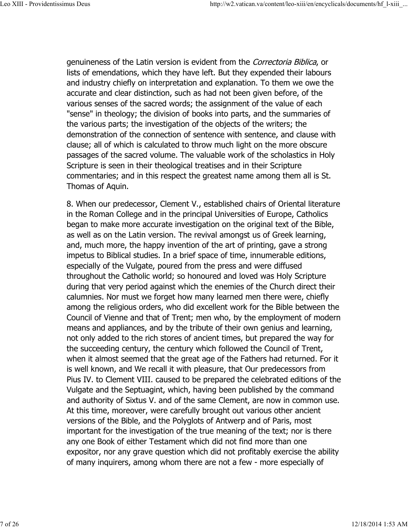genuineness of the Latin version is evident from the Correctoria Biblica, or lists of emendations, which they have left. But they expended their labours and industry chiefly on interpretation and explanation. To them we owe the accurate and clear distinction, such as had not been given before, of the various senses of the sacred words; the assignment of the value of each "sense" in theology; the division of books into parts, and the summaries of the various parts; the investigation of the objects of the writers; the demonstration of the connection of sentence with sentence, and clause with clause; all of which is calculated to throw much light on the more obscure passages of the sacred volume. The valuable work of the scholastics in Holy Scripture is seen in their theological treatises and in their Scripture commentaries; and in this respect the greatest name among them all is St. Thomas of Aquin.

8. When our predecessor, Clement V., established chairs of Oriental literature in the Roman College and in the principal Universities of Europe, Catholics began to make more accurate investigation on the original text of the Bible, as well as on the Latin version. The revival amongst us of Greek learning, and, much more, the happy invention of the art of printing, gave a strong impetus to Biblical studies. In a brief space of time, innumerable editions, especially of the Vulgate, poured from the press and were diffused throughout the Catholic world; so honoured and loved was Holy Scripture during that very period against which the enemies of the Church direct their calumnies. Nor must we forget how many learned men there were, chiefly among the religious orders, who did excellent work for the Bible between the Council of Vienne and that of Trent; men who, by the employment of modern means and appliances, and by the tribute of their own genius and learning, not only added to the rich stores of ancient times, but prepared the way for the succeeding century, the century which followed the Council of Trent, when it almost seemed that the great age of the Fathers had returned. For it is well known, and We recall it with pleasure, that Our predecessors from Pius IV. to Clement VIII. caused to be prepared the celebrated editions of the Vulgate and the Septuagint, which, having been published by the command and authority of Sixtus V. and of the same Clement, are now in common use. At this time, moreover, were carefully brought out various other ancient versions of the Bible, and the Polyglots of Antwerp and of Paris, most important for the investigation of the true meaning of the text; nor is there any one Book of either Testament which did not find more than one expositor, nor any grave question which did not profitably exercise the ability of many inquirers, among whom there are not a few - more especially of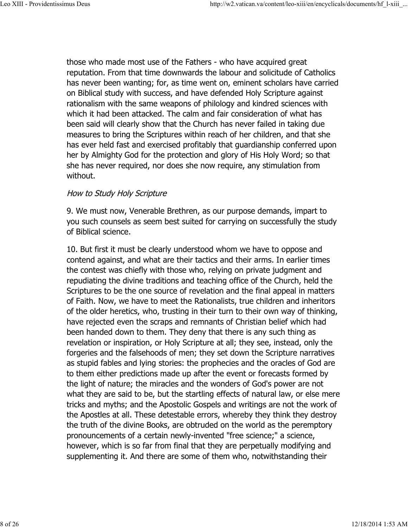those who made most use of the Fathers - who have acquired great reputation. From that time downwards the labour and solicitude of Catholics has never been wanting; for, as time went on, eminent scholars have carried on Biblical study with success, and have defended Holy Scripture against rationalism with the same weapons of philology and kindred sciences with which it had been attacked. The calm and fair consideration of what has been said will clearly show that the Church has never failed in taking due measures to bring the Scriptures within reach of her children, and that she has ever held fast and exercised profitably that guardianship conferred upon her by Almighty God for the protection and glory of His Holy Word; so that she has never required, nor does she now require, any stimulation from without.

#### How to Study Holy Scripture

9. We must now, Venerable Brethren, as our purpose demands, impart to you such counsels as seem best suited for carrying on successfully the study of Biblical science.

10. But first it must be clearly understood whom we have to oppose and contend against, and what are their tactics and their arms. In earlier times the contest was chiefly with those who, relying on private judgment and repudiating the divine traditions and teaching office of the Church, held the Scriptures to be the one source of revelation and the final appeal in matters of Faith. Now, we have to meet the Rationalists, true children and inheritors of the older heretics, who, trusting in their turn to their own way of thinking, have rejected even the scraps and remnants of Christian belief which had been handed down to them. They deny that there is any such thing as revelation or inspiration, or Holy Scripture at all; they see, instead, only the forgeries and the falsehoods of men; they set down the Scripture narratives as stupid fables and lying stories: the prophecies and the oracles of God are to them either predictions made up after the event or forecasts formed by the light of nature; the miracles and the wonders of God's power are not what they are said to be, but the startling effects of natural law, or else mere tricks and myths; and the Apostolic Gospels and writings are not the work of the Apostles at all. These detestable errors, whereby they think they destroy the truth of the divine Books, are obtruded on the world as the peremptory pronouncements of a certain newly-invented "free science;" a science, however, which is so far from final that they are perpetually modifying and supplementing it. And there are some of them who, notwithstanding their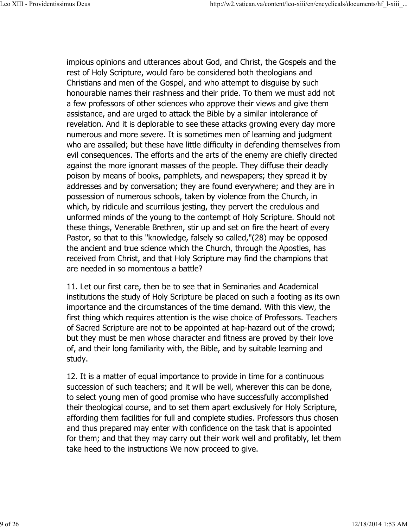impious opinions and utterances about God, and Christ, the Gospels and the rest of Holy Scripture, would faro be considered both theologians and Christians and men of the Gospel, and who attempt to disguise by such honourable names their rashness and their pride. To them we must add not a few professors of other sciences who approve their views and give them assistance, and are urged to attack the Bible by a similar intolerance of revelation. And it is deplorable to see these attacks growing every day more numerous and more severe. It is sometimes men of learning and judgment who are assailed; but these have little difficulty in defending themselves from evil consequences. The efforts and the arts of the enemy are chiefly directed against the more ignorant masses of the people. They diffuse their deadly poison by means of books, pamphlets, and newspapers; they spread it by addresses and by conversation; they are found everywhere; and they are in possession of numerous schools, taken by violence from the Church, in which, by ridicule and scurrilous jesting, they pervert the credulous and unformed minds of the young to the contempt of Holy Scripture. Should not these things, Venerable Brethren, stir up and set on fire the heart of every Pastor, so that to this "knowledge, falsely so called,"(28) may be opposed the ancient and true science which the Church, through the Apostles, has received from Christ, and that Holy Scripture may find the champions that are needed in so momentous a battle?

11. Let our first care, then be to see that in Seminaries and Academical institutions the study of Holy Scripture be placed on such a footing as its own importance and the circumstances of the time demand. With this view, the first thing which requires attention is the wise choice of Professors. Teachers of Sacred Scripture are not to be appointed at hap-hazard out of the crowd; but they must be men whose character and fitness are proved by their love of, and their long familiarity with, the Bible, and by suitable learning and study.

12. It is a matter of equal importance to provide in time for a continuous succession of such teachers; and it will be well, wherever this can be done, to select young men of good promise who have successfully accomplished their theological course, and to set them apart exclusively for Holy Scripture, affording them facilities for full and complete studies. Professors thus chosen and thus prepared may enter with confidence on the task that is appointed for them; and that they may carry out their work well and profitably, let them take heed to the instructions We now proceed to give.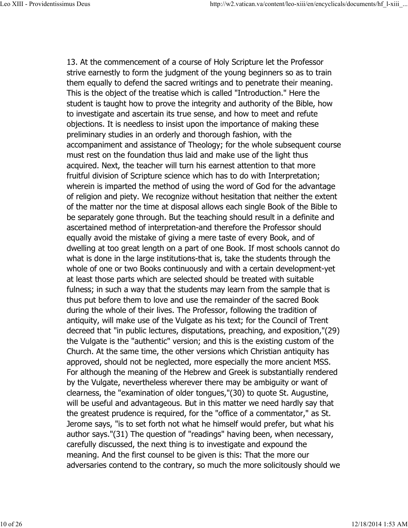13. At the commencement of a course of Holy Scripture let the Professor strive earnestly to form the judgment of the young beginners so as to train them equally to defend the sacred writings and to penetrate their meaning. This is the object of the treatise which is called "Introduction." Here the student is taught how to prove the integrity and authority of the Bible, how to investigate and ascertain its true sense, and how to meet and refute objections. It is needless to insist upon the importance of making these preliminary studies in an orderly and thorough fashion, with the accompaniment and assistance of Theology; for the whole subsequent course must rest on the foundation thus laid and make use of the light thus acquired. Next, the teacher will turn his earnest attention to that more fruitful division of Scripture science which has to do with Interpretation; wherein is imparted the method of using the word of God for the advantage of religion and piety. We recognize without hesitation that neither the extent of the matter nor the time at disposal allows each single Book of the Bible to be separately gone through. But the teaching should result in a definite and ascertained method of interpretation-and therefore the Professor should equally avoid the mistake of giving a mere taste of every Book, and of dwelling at too great length on a part of one Book. If most schools cannot do what is done in the large institutions-that is, take the students through the whole of one or two Books continuously and with a certain development-yet at least those parts which are selected should be treated with suitable fulness; in such a way that the students may learn from the sample that is thus put before them to love and use the remainder of the sacred Book during the whole of their lives. The Professor, following the tradition of antiquity, will make use of the Vulgate as his text; for the Council of Trent decreed that "in public lectures, disputations, preaching, and exposition,"(29) the Vulgate is the "authentic" version; and this is the existing custom of the Church. At the same time, the other versions which Christian antiquity has approved, should not be neglected, more especially the more ancient MSS. For although the meaning of the Hebrew and Greek is substantially rendered by the Vulgate, nevertheless wherever there may be ambiguity or want of clearness, the "examination of older tongues,"(30) to quote St. Augustine, will be useful and advantageous. But in this matter we need hardly say that the greatest prudence is required, for the "office of a commentator," as St. Jerome says, "is to set forth not what he himself would prefer, but what his author says."(31) The question of "readings" having been, when necessary, carefully discussed, the next thing is to investigate and expound the meaning. And the first counsel to be given is this: That the more our adversaries contend to the contrary, so much the more solicitously should we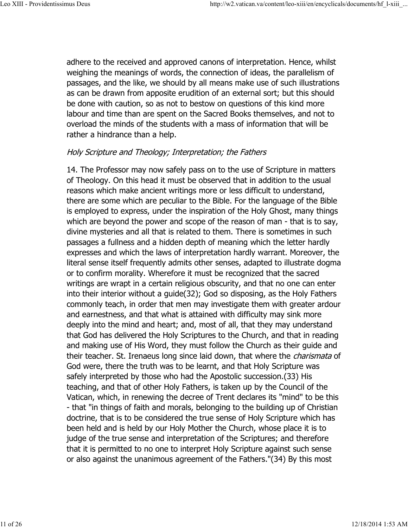adhere to the received and approved canons of interpretation. Hence, whilst weighing the meanings of words, the connection of ideas, the parallelism of passages, and the like, we should by all means make use of such illustrations as can be drawn from apposite erudition of an external sort; but this should be done with caution, so as not to bestow on questions of this kind more labour and time than are spent on the Sacred Books themselves, and not to overload the minds of the students with a mass of information that will be rather a hindrance than a help.

# Holy Scripture and Theology; Interpretation; the Fathers

14. The Professor may now safely pass on to the use of Scripture in matters of Theology. On this head it must be observed that in addition to the usual reasons which make ancient writings more or less difficult to understand, there are some which are peculiar to the Bible. For the language of the Bible is employed to express, under the inspiration of the Holy Ghost, many things which are beyond the power and scope of the reason of man - that is to say, divine mysteries and all that is related to them. There is sometimes in such passages a fullness and a hidden depth of meaning which the letter hardly expresses and which the laws of interpretation hardly warrant. Moreover, the literal sense itself frequently admits other senses, adapted to illustrate dogma or to confirm morality. Wherefore it must be recognized that the sacred writings are wrapt in a certain religious obscurity, and that no one can enter into their interior without a guide(32); God so disposing, as the Holy Fathers commonly teach, in order that men may investigate them with greater ardour and earnestness, and that what is attained with difficulty may sink more deeply into the mind and heart; and, most of all, that they may understand that God has delivered the Holy Scriptures to the Church, and that in reading and making use of His Word, they must follow the Church as their guide and their teacher. St. Irenaeus long since laid down, that where the *charismata* of God were, there the truth was to be learnt, and that Holy Scripture was safely interpreted by those who had the Apostolic succession.(33) His teaching, and that of other Holy Fathers, is taken up by the Council of the Vatican, which, in renewing the decree of Trent declares its "mind" to be this - that "in things of faith and morals, belonging to the building up of Christian doctrine, that is to be considered the true sense of Holy Scripture which has been held and is held by our Holy Mother the Church, whose place it is to judge of the true sense and interpretation of the Scriptures; and therefore that it is permitted to no one to interpret Holy Scripture against such sense or also against the unanimous agreement of the Fathers."(34) By this most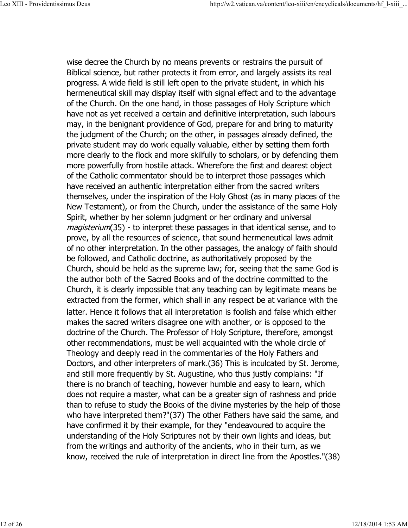wise decree the Church by no means prevents or restrains the pursuit of Biblical science, but rather protects it from error, and largely assists its real progress. A wide field is still left open to the private student, in which his hermeneutical skill may display itself with signal effect and to the advantage of the Church. On the one hand, in those passages of Holy Scripture which have not as yet received a certain and definitive interpretation, such labours may, in the benignant providence of God, prepare for and bring to maturity the judgment of the Church; on the other, in passages already defined, the private student may do work equally valuable, either by setting them forth more clearly to the flock and more skilfully to scholars, or by defending them more powerfully from hostile attack. Wherefore the first and dearest object of the Catholic commentator should be to interpret those passages which have received an authentic interpretation either from the sacred writers themselves, under the inspiration of the Holy Ghost (as in many places of the New Testament), or from the Church, under the assistance of the same Holy Spirit, whether by her solemn judgment or her ordinary and universal magisterium(35) - to interpret these passages in that identical sense, and to prove, by all the resources of science, that sound hermeneutical laws admit of no other interpretation. In the other passages, the analogy of faith should be followed, and Catholic doctrine, as authoritatively proposed by the Church, should be held as the supreme law; for, seeing that the same God is the author both of the Sacred Books and of the doctrine committed to the Church, it is clearly impossible that any teaching can by legitimate means be extracted from the former, which shall in any respect be at variance with the latter. Hence it follows that all interpretation is foolish and false which either makes the sacred writers disagree one with another, or is opposed to the doctrine of the Church. The Professor of Holy Scripture, therefore, amongst other recommendations, must be well acquainted with the whole circle of Theology and deeply read in the commentaries of the Holy Fathers and Doctors, and other interpreters of mark.(36) This is inculcated by St. Jerome, and still more frequently by St. Augustine, who thus justly complains: "If there is no branch of teaching, however humble and easy to learn, which does not require a master, what can be a greater sign of rashness and pride than to refuse to study the Books of the divine mysteries by the help of those who have interpreted them?"(37) The other Fathers have said the same, and have confirmed it by their example, for they "endeavoured to acquire the understanding of the Holy Scriptures not by their own lights and ideas, but from the writings and authority of the ancients, who in their turn, as we know, received the rule of interpretation in direct line from the Apostles."(38)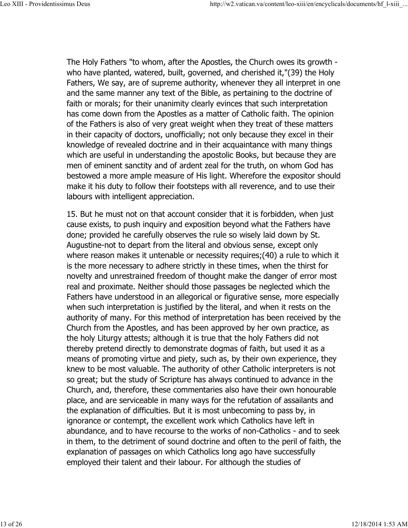The Holy Fathers "to whom, after the Apostles, the Church owes its growth who have planted, watered, built, governed, and cherished it,"(39) the Holy Fathers, We say, are of supreme authority, whenever they all interpret in one and the same manner any text of the Bible, as pertaining to the doctrine of faith or morals; for their unanimity clearly evinces that such interpretation has come down from the Apostles as a matter of Catholic faith. The opinion of the Fathers is also of very great weight when they treat of these matters in their capacity of doctors, unofficially; not only because they excel in their knowledge of revealed doctrine and in their acquaintance with many things which are useful in understanding the apostolic Books, but because they are men of eminent sanctity and of ardent zeal for the truth, on whom God has bestowed a more ample measure of His light. Wherefore the expositor should make it his duty to follow their footsteps with all reverence, and to use their labours with intelligent appreciation.

15. But he must not on that account consider that it is forbidden, when just cause exists, to push inquiry and exposition beyond what the Fathers have done; provided he carefully observes the rule so wisely laid down by St. Augustine-not to depart from the literal and obvious sense, except only where reason makes it untenable or necessity requires;(40) a rule to which it is the more necessary to adhere strictly in these times, when the thirst for novelty and unrestrained freedom of thought make the danger of error most real and proximate. Neither should those passages be neglected which the Fathers have understood in an allegorical or figurative sense, more especially when such interpretation is justified by the literal, and when it rests on the authority of many. For this method of interpretation has been received by the Church from the Apostles, and has been approved by her own practice, as the holy Liturgy attests; although it is true that the holy Fathers did not thereby pretend directly to demonstrate dogmas of faith, but used it as a means of promoting virtue and piety, such as, by their own experience, they knew to be most valuable. The authority of other Catholic interpreters is not so great; but the study of Scripture has always continued to advance in the Church, and, therefore, these commentaries also have their own honourable place, and are serviceable in many ways for the refutation of assailants and the explanation of difficulties. But it is most unbecoming to pass by, in ignorance or contempt, the excellent work which Catholics have left in abundance, and to have recourse to the works of non-Catholics - and to seek in them, to the detriment of sound doctrine and often to the peril of faith, the explanation of passages on which Catholics long ago have successfully employed their talent and their labour. For although the studies of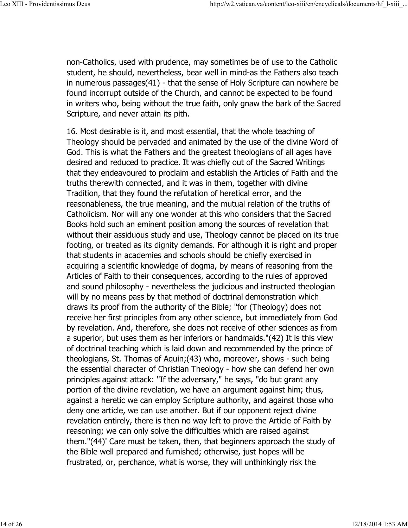non-Catholics, used with prudence, may sometimes be of use to the Catholic student, he should, nevertheless, bear well in mind-as the Fathers also teach in numerous passages(41) - that the sense of Holy Scripture can nowhere be found incorrupt outside of the Church, and cannot be expected to be found in writers who, being without the true faith, only gnaw the bark of the Sacred Scripture, and never attain its pith.

16. Most desirable is it, and most essential, that the whole teaching of Theology should be pervaded and animated by the use of the divine Word of God. This is what the Fathers and the greatest theologians of all ages have desired and reduced to practice. It was chiefly out of the Sacred Writings that they endeavoured to proclaim and establish the Articles of Faith and the truths therewith connected, and it was in them, together with divine Tradition, that they found the refutation of heretical error, and the reasonableness, the true meaning, and the mutual relation of the truths of Catholicism. Nor will any one wonder at this who considers that the Sacred Books hold such an eminent position among the sources of revelation that without their assiduous study and use, Theology cannot be placed on its true footing, or treated as its dignity demands. For although it is right and proper that students in academies and schools should be chiefly exercised in acquiring a scientific knowledge of dogma, by means of reasoning from the Articles of Faith to their consequences, according to the rules of approved and sound philosophy - nevertheless the judicious and instructed theologian will by no means pass by that method of doctrinal demonstration which draws its proof from the authority of the Bible; "for (Theology) does not receive her first principles from any other science, but immediately from God by revelation. And, therefore, she does not receive of other sciences as from a superior, but uses them as her inferiors or handmaids."(42) It is this view of doctrinal teaching which is laid down and recommended by the prince of theologians, St. Thomas of Aquin;(43) who, moreover, shows - such being the essential character of Christian Theology - how she can defend her own principles against attack: "If the adversary," he says, "do but grant any portion of the divine revelation, we have an argument against him; thus, against a heretic we can employ Scripture authority, and against those who deny one article, we can use another. But if our opponent reject divine revelation entirely, there is then no way left to prove the Article of Faith by reasoning; we can only solve the difficulties which are raised against them."(44)' Care must be taken, then, that beginners approach the study of the Bible well prepared and furnished; otherwise, just hopes will be frustrated, or, perchance, what is worse, they will unthinkingly risk the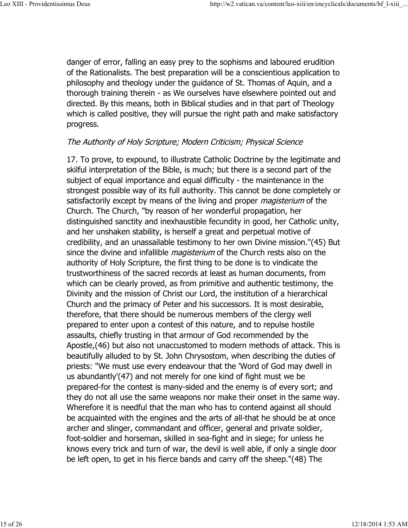danger of error, falling an easy prey to the sophisms and laboured erudition of the Rationalists. The best preparation will be a conscientious application to philosophy and theology under the guidance of St. Thomas of Aquin, and a thorough training therein - as We ourselves have elsewhere pointed out and directed. By this means, both in Biblical studies and in that part of Theology which is called positive, they will pursue the right path and make satisfactory progress.

## The Authority of Holy Scripture; Modern Criticism; Physical Science

17. To prove, to expound, to illustrate Catholic Doctrine by the legitimate and skilful interpretation of the Bible, is much; but there is a second part of the subject of equal importance and equal difficulty - the maintenance in the strongest possible way of its full authority. This cannot be done completely or satisfactorily except by means of the living and proper *magisterium* of the Church. The Church, "by reason of her wonderful propagation, her distinguished sanctity and inexhaustible fecundity in good, her Catholic unity, and her unshaken stability, is herself a great and perpetual motive of credibility, and an unassailable testimony to her own Divine mission."(45) But since the divine and infallible *magisterium* of the Church rests also on the authority of Holy Scripture, the first thing to be done is to vindicate the trustworthiness of the sacred records at least as human documents, from which can be clearly proved, as from primitive and authentic testimony, the Divinity and the mission of Christ our Lord, the institution of a hierarchical Church and the primacy of Peter and his successors. It is most desirable, therefore, that there should be numerous members of the clergy well prepared to enter upon a contest of this nature, and to repulse hostile assaults, chiefly trusting in that armour of God recommended by the Apostle,(46) but also not unaccustomed to modern methods of attack. This is beautifully alluded to by St. John Chrysostom, when describing the duties of priests: "We must use every endeavour that the 'Word of God may dwell in us abundantly'(47) and not merely for one kind of fight must we be prepared-for the contest is many-sided and the enemy is of every sort; and they do not all use the same weapons nor make their onset in the same way. Wherefore it is needful that the man who has to contend against all should be acquainted with the engines and the arts of all-that he should be at once archer and slinger, commandant and officer, general and private soldier, foot-soldier and horseman, skilled in sea-fight and in siege; for unless he knows every trick and turn of war, the devil is well able, if only a single door be left open, to get in his fierce bands and carry off the sheep."(48) The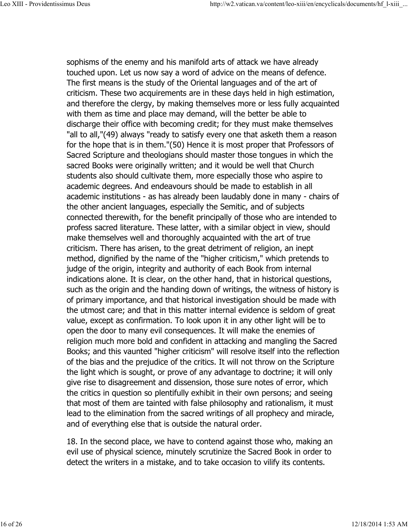sophisms of the enemy and his manifold arts of attack we have already touched upon. Let us now say a word of advice on the means of defence. The first means is the study of the Oriental languages and of the art of criticism. These two acquirements are in these days held in high estimation, and therefore the clergy, by making themselves more or less fully acquainted with them as time and place may demand, will the better be able to discharge their office with becoming credit; for they must make themselves "all to all,"(49) always "ready to satisfy every one that asketh them a reason for the hope that is in them."(50) Hence it is most proper that Professors of Sacred Scripture and theologians should master those tongues in which the sacred Books were originally written; and it would be well that Church students also should cultivate them, more especially those who aspire to academic degrees. And endeavours should be made to establish in all academic institutions - as has already been laudably done in many - chairs of the other ancient languages, especially the Semitic, and of subjects connected therewith, for the benefit principally of those who are intended to profess sacred literature. These latter, with a similar object in view, should make themselves well and thoroughly acquainted with the art of true criticism. There has arisen, to the great detriment of religion, an inept method, dignified by the name of the "higher criticism," which pretends to judge of the origin, integrity and authority of each Book from internal indications alone. It is clear, on the other hand, that in historical questions, such as the origin and the handing down of writings, the witness of history is of primary importance, and that historical investigation should be made with the utmost care; and that in this matter internal evidence is seldom of great value, except as confirmation. To look upon it in any other light will be to open the door to many evil consequences. It will make the enemies of religion much more bold and confident in attacking and mangling the Sacred Books; and this vaunted "higher criticism" will resolve itself into the reflection of the bias and the prejudice of the critics. It will not throw on the Scripture the light which is sought, or prove of any advantage to doctrine; it will only give rise to disagreement and dissension, those sure notes of error, which the critics in question so plentifully exhibit in their own persons; and seeing that most of them are tainted with false philosophy and rationalism, it must lead to the elimination from the sacred writings of all prophecy and miracle, and of everything else that is outside the natural order.

18. In the second place, we have to contend against those who, making an evil use of physical science, minutely scrutinize the Sacred Book in order to detect the writers in a mistake, and to take occasion to vilify its contents.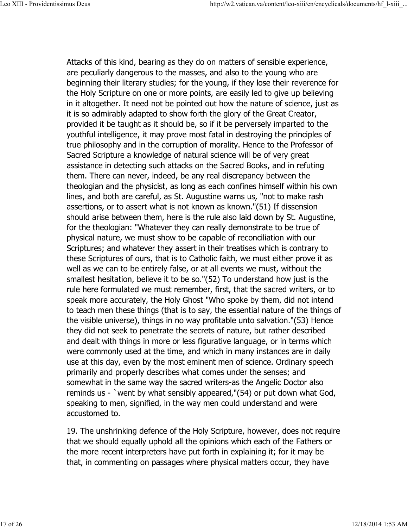Attacks of this kind, bearing as they do on matters of sensible experience, are peculiarly dangerous to the masses, and also to the young who are beginning their literary studies; for the young, if they lose their reverence for the Holy Scripture on one or more points, are easily led to give up believing in it altogether. It need not be pointed out how the nature of science, just as it is so admirably adapted to show forth the glory of the Great Creator, provided it be taught as it should be, so if it be perversely imparted to the youthful intelligence, it may prove most fatal in destroying the principles of true philosophy and in the corruption of morality. Hence to the Professor of Sacred Scripture a knowledge of natural science will be of very great assistance in detecting such attacks on the Sacred Books, and in refuting them. There can never, indeed, be any real discrepancy between the theologian and the physicist, as long as each confines himself within his own lines, and both are careful, as St. Augustine warns us, "not to make rash assertions, or to assert what is not known as known."(51) If dissension should arise between them, here is the rule also laid down by St. Augustine, for the theologian: "Whatever they can really demonstrate to be true of physical nature, we must show to be capable of reconciliation with our Scriptures; and whatever they assert in their treatises which is contrary to these Scriptures of ours, that is to Catholic faith, we must either prove it as well as we can to be entirely false, or at all events we must, without the smallest hesitation, believe it to be so."(52) To understand how just is the rule here formulated we must remember, first, that the sacred writers, or to speak more accurately, the Holy Ghost "Who spoke by them, did not intend to teach men these things (that is to say, the essential nature of the things of the visible universe), things in no way profitable unto salvation."(53) Hence they did not seek to penetrate the secrets of nature, but rather described and dealt with things in more or less figurative language, or in terms which were commonly used at the time, and which in many instances are in daily use at this day, even by the most eminent men of science. Ordinary speech primarily and properly describes what comes under the senses; and somewhat in the same way the sacred writers-as the Angelic Doctor also reminds us - `went by what sensibly appeared,"(54) or put down what God, speaking to men, signified, in the way men could understand and were accustomed to.

19. The unshrinking defence of the Holy Scripture, however, does not require that we should equally uphold all the opinions which each of the Fathers or the more recent interpreters have put forth in explaining it; for it may be that, in commenting on passages where physical matters occur, they have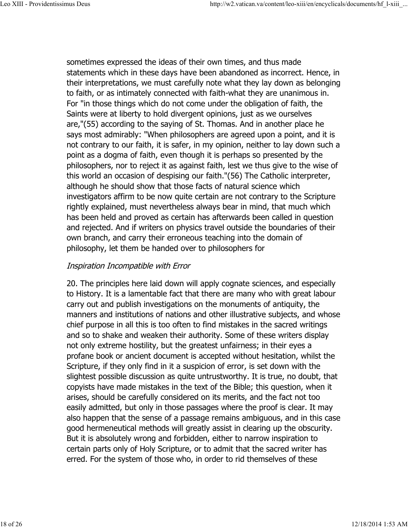sometimes expressed the ideas of their own times, and thus made statements which in these days have been abandoned as incorrect. Hence, in their interpretations, we must carefully note what they lay down as belonging to faith, or as intimately connected with faith-what they are unanimous in. For "in those things which do not come under the obligation of faith, the Saints were at liberty to hold divergent opinions, just as we ourselves are,"(55) according to the saying of St. Thomas. And in another place he says most admirably: "When philosophers are agreed upon a point, and it is not contrary to our faith, it is safer, in my opinion, neither to lay down such a point as a dogma of faith, even though it is perhaps so presented by the philosophers, nor to reject it as against faith, lest we thus give to the wise of this world an occasion of despising our faith."(56) The Catholic interpreter, although he should show that those facts of natural science which investigators affirm to be now quite certain are not contrary to the Scripture rightly explained, must nevertheless always bear in mind, that much which has been held and proved as certain has afterwards been called in question and rejected. And if writers on physics travel outside the boundaries of their own branch, and carry their erroneous teaching into the domain of philosophy, let them be handed over to philosophers for

## Inspiration Incompatible with Error

20. The principles here laid down will apply cognate sciences, and especially to History. It is a lamentable fact that there are many who with great labour carry out and publish investigations on the monuments of antiquity, the manners and institutions of nations and other illustrative subjects, and whose chief purpose in all this is too often to find mistakes in the sacred writings and so to shake and weaken their authority. Some of these writers display not only extreme hostility, but the greatest unfairness; in their eyes a profane book or ancient document is accepted without hesitation, whilst the Scripture, if they only find in it a suspicion of error, is set down with the slightest possible discussion as quite untrustworthy. It is true, no doubt, that copyists have made mistakes in the text of the Bible; this question, when it arises, should be carefully considered on its merits, and the fact not too easily admitted, but only in those passages where the proof is clear. It may also happen that the sense of a passage remains ambiguous, and in this case good hermeneutical methods will greatly assist in clearing up the obscurity. But it is absolutely wrong and forbidden, either to narrow inspiration to certain parts only of Holy Scripture, or to admit that the sacred writer has erred. For the system of those who, in order to rid themselves of these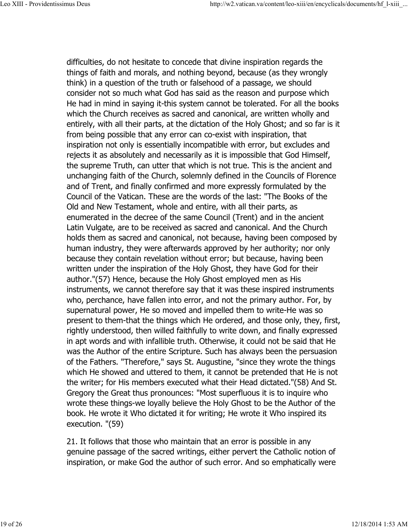difficulties, do not hesitate to concede that divine inspiration regards the things of faith and morals, and nothing beyond, because (as they wrongly think) in a question of the truth or falsehood of a passage, we should consider not so much what God has said as the reason and purpose which He had in mind in saying it-this system cannot be tolerated. For all the books which the Church receives as sacred and canonical, are written wholly and entirely, with all their parts, at the dictation of the Holy Ghost; and so far is it from being possible that any error can co-exist with inspiration, that inspiration not only is essentially incompatible with error, but excludes and rejects it as absolutely and necessarily as it is impossible that God Himself, the supreme Truth, can utter that which is not true. This is the ancient and unchanging faith of the Church, solemnly defined in the Councils of Florence and of Trent, and finally confirmed and more expressly formulated by the Council of the Vatican. These are the words of the last: "The Books of the Old and New Testament, whole and entire, with all their parts, as enumerated in the decree of the same Council (Trent) and in the ancient Latin Vulgate, are to be received as sacred and canonical. And the Church holds them as sacred and canonical, not because, having been composed by human industry, they were afterwards approved by her authority; nor only because they contain revelation without error; but because, having been written under the inspiration of the Holy Ghost, they have God for their author."(57) Hence, because the Holy Ghost employed men as His instruments, we cannot therefore say that it was these inspired instruments who, perchance, have fallen into error, and not the primary author. For, by supernatural power, He so moved and impelled them to write-He was so present to them-that the things which He ordered, and those only, they, first, rightly understood, then willed faithfully to write down, and finally expressed in apt words and with infallible truth. Otherwise, it could not be said that He was the Author of the entire Scripture. Such has always been the persuasion of the Fathers. "Therefore," says St. Augustine, "since they wrote the things which He showed and uttered to them, it cannot be pretended that He is not the writer; for His members executed what their Head dictated."(58) And St. Gregory the Great thus pronounces: "Most superfluous it is to inquire who wrote these things-we loyally believe the Holy Ghost to be the Author of the book. He wrote it Who dictated it for writing; He wrote it Who inspired its execution. "(59)

21. It follows that those who maintain that an error is possible in any genuine passage of the sacred writings, either pervert the Catholic notion of inspiration, or make God the author of such error. And so emphatically were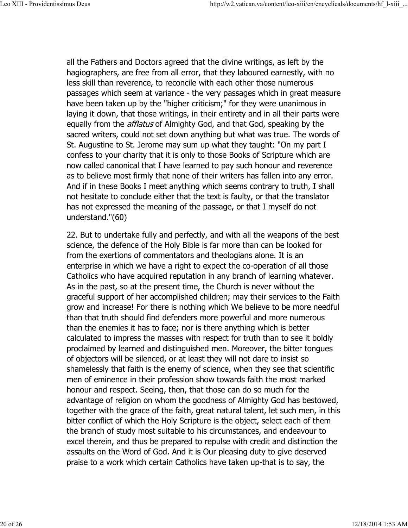all the Fathers and Doctors agreed that the divine writings, as left by the hagiographers, are free from all error, that they laboured earnestly, with no less skill than reverence, to reconcile with each other those numerous passages which seem at variance - the very passages which in great measure have been taken up by the "higher criticism;" for they were unanimous in laying it down, that those writings, in their entirety and in all their parts were equally from the *afflatus* of Almighty God, and that God, speaking by the sacred writers, could not set down anything but what was true. The words of St. Augustine to St. Jerome may sum up what they taught: "On my part I confess to your charity that it is only to those Books of Scripture which are now called canonical that I have learned to pay such honour and reverence as to believe most firmly that none of their writers has fallen into any error. And if in these Books I meet anything which seems contrary to truth, I shall not hesitate to conclude either that the text is faulty, or that the translator has not expressed the meaning of the passage, or that I myself do not understand."(60)

22. But to undertake fully and perfectly, and with all the weapons of the best science, the defence of the Holy Bible is far more than can be looked for from the exertions of commentators and theologians alone. It is an enterprise in which we have a right to expect the co-operation of all those Catholics who have acquired reputation in any branch of learning whatever. As in the past, so at the present time, the Church is never without the graceful support of her accomplished children; may their services to the Faith grow and increase! For there is nothing which We believe to be more needful than that truth should find defenders more powerful and more numerous than the enemies it has to face; nor is there anything which is better calculated to impress the masses with respect for truth than to see it boldly proclaimed by learned and distinguished men. Moreover, the bitter tongues of objectors will be silenced, or at least they will not dare to insist so shamelessly that faith is the enemy of science, when they see that scientific men of eminence in their profession show towards faith the most marked honour and respect. Seeing, then, that those can do so much for the advantage of religion on whom the goodness of Almighty God has bestowed, together with the grace of the faith, great natural talent, let such men, in this bitter conflict of which the Holy Scripture is the object, select each of them the branch of study most suitable to his circumstances, and endeavour to excel therein, and thus be prepared to repulse with credit and distinction the assaults on the Word of God. And it is Our pleasing duty to give deserved praise to a work which certain Catholics have taken up-that is to say, the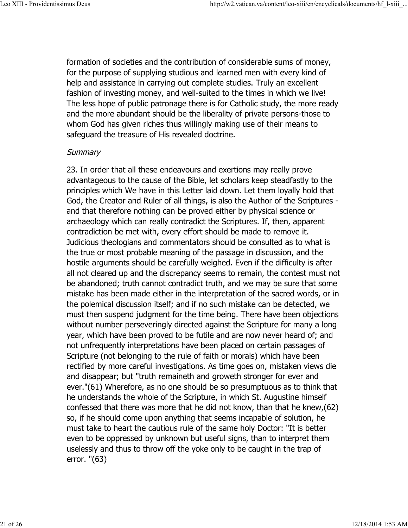formation of societies and the contribution of considerable sums of money, for the purpose of supplying studious and learned men with every kind of help and assistance in carrying out complete studies. Truly an excellent fashion of investing money, and well-suited to the times in which we live! The less hope of public patronage there is for Catholic study, the more ready and the more abundant should be the liberality of private persons-those to whom God has given riches thus willingly making use of their means to safeguard the treasure of His revealed doctrine.

#### **Summary**

23. In order that all these endeavours and exertions may really prove advantageous to the cause of the Bible, let scholars keep steadfastly to the principles which We have in this Letter laid down. Let them loyally hold that God, the Creator and Ruler of all things, is also the Author of the Scriptures and that therefore nothing can be proved either by physical science or archaeology which can really contradict the Scriptures. If, then, apparent contradiction be met with, every effort should be made to remove it. Judicious theologians and commentators should be consulted as to what is the true or most probable meaning of the passage in discussion, and the hostile arguments should be carefully weighed. Even if the difficulty is after all not cleared up and the discrepancy seems to remain, the contest must not be abandoned; truth cannot contradict truth, and we may be sure that some mistake has been made either in the interpretation of the sacred words, or in the polemical discussion itself; and if no such mistake can be detected, we must then suspend judgment for the time being. There have been objections without number perseveringly directed against the Scripture for many a long year, which have been proved to be futile and are now never heard of; and not unfrequently interpretations have been placed on certain passages of Scripture (not belonging to the rule of faith or morals) which have been rectified by more careful investigations. As time goes on, mistaken views die and disappear; but "truth remaineth and groweth stronger for ever and ever."(61) Wherefore, as no one should be so presumptuous as to think that he understands the whole of the Scripture, in which St. Augustine himself confessed that there was more that he did not know, than that he knew,(62) so, if he should come upon anything that seems incapable of solution, he must take to heart the cautious rule of the same holy Doctor: "It is better even to be oppressed by unknown but useful signs, than to interpret them uselessly and thus to throw off the yoke only to be caught in the trap of error. "(63)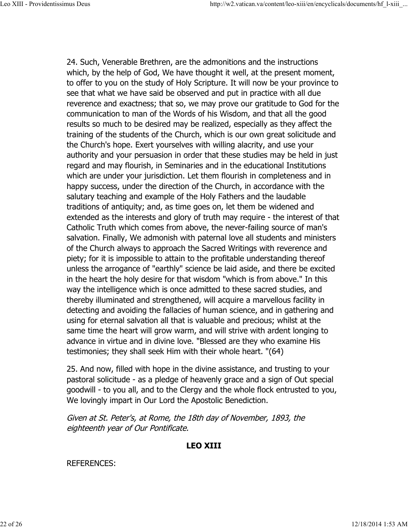24. Such, Venerable Brethren, are the admonitions and the instructions which, by the help of God, We have thought it well, at the present moment, to offer to you on the study of Holy Scripture. It will now be your province to see that what we have said be observed and put in practice with all due reverence and exactness; that so, we may prove our gratitude to God for the communication to man of the Words of his Wisdom, and that all the good results so much to be desired may be realized, especially as they affect the training of the students of the Church, which is our own great solicitude and the Church's hope. Exert yourselves with willing alacrity, and use your authority and your persuasion in order that these studies may be held in just regard and may flourish, in Seminaries and in the educational Institutions which are under your jurisdiction. Let them flourish in completeness and in happy success, under the direction of the Church, in accordance with the salutary teaching and example of the Holy Fathers and the laudable traditions of antiquity; and, as time goes on, let them be widened and extended as the interests and glory of truth may require - the interest of that Catholic Truth which comes from above, the never-failing source of man's salvation. Finally, We admonish with paternal love all students and ministers of the Church always to approach the Sacred Writings with reverence and piety; for it is impossible to attain to the profitable understanding thereof unless the arrogance of "earthly" science be laid aside, and there be excited in the heart the holy desire for that wisdom "which is from above." In this way the intelligence which is once admitted to these sacred studies, and thereby illuminated and strengthened, will acquire a marvellous facility in detecting and avoiding the fallacies of human science, and in gathering and using for eternal salvation all that is valuable and precious; whilst at the same time the heart will grow warm, and will strive with ardent longing to advance in virtue and in divine love. "Blessed are they who examine His testimonies; they shall seek Him with their whole heart. "(64)

25. And now, filled with hope in the divine assistance, and trusting to your pastoral solicitude - as a pledge of heavenly grace and a sign of Out special goodwill - to you all, and to the Clergy and the whole flock entrusted to you, We lovingly impart in Our Lord the Apostolic Benediction.

Given at St. Peter's, at Rome, the 18th day of November, 1893, the eighteenth year of Our Pontificate.

## **LEO XIII**

## REFERENCES: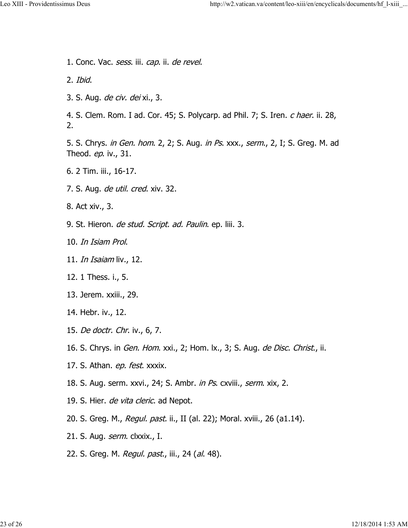1. Conc. Vac. sess. iii. cap. ii. de revel. 2. Ibid. 3. S. Aug. de civ. dei xi., 3. 4. S. Clem. Rom. I ad. Cor. 45; S. Polycarp. ad Phil. 7; S. Iren. c haer. ii. 28, 2. 5. S. Chrys. in Gen. hom. 2, 2; S. Aug. in Ps. xxx., serm., 2, I; S. Greg. M. ad Theod. *ep*. iv., 31. 6. 2 Tim. iii., 16-17. 7. S. Aug. *de util. cred.* xiv. 32. 8. Act xiv., 3. 9. St. Hieron. de stud. Script. ad. Paulin. ep. liii. 3. 10. In Isiam Prol. 11. *In Isaiam* liv., 12. 12. 1 Thess. i., 5. 13. Jerem. xxiii., 29. 14. Hebr. iv., 12. 15. De doctr. Chr. iv., 6, 7. 16. S. Chrys. in *Gen. Hom.* xxi., 2; Hom. lx., 3; S. Aug. *de Disc. Christ.*, ii. 17. S. Athan. *ep. fest*. xxxix. 18. S. Aug. serm. xxvi., 24; S. Ambr. *in Ps*. cxviii., *serm*. xix, 2. 19. S. Hier. de vita cleric. ad Nepot. 20. S. Greg. M., *Regul. past.* ii., II (al. 22); Moral. xviii., 26 (a1.14). 21. S. Aug. *serm*. clxxix., I. 22. S. Greg. M. Regul. past., iii., 24 (al. 48).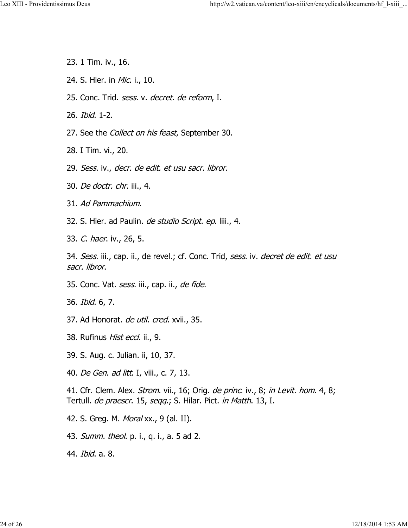- 23. 1 Tim. iv., 16.
- 24. S. Hier. in Mic. i., 10.
- 25. Conc. Trid. *sess.* v. *decret. de reform*, I.
- 26. Ibid. 1-2.
- 27. See the *Collect on his feast*, September 30.
- 28. I Tim. vi., 20.
- 29. Sess. iv., decr. de edit. et usu sacr. libror.
- 30. De doctr. chr. iii., 4.
- 31. Ad Pammachium.
- 32. S. Hier. ad Paulin. *de studio Script. ep.* liii., 4.
- 33. C. haer. iv., 26, 5.

34. Sess. iii., cap. ii., de revel.; cf. Conc. Trid, sess. iv. *decret de edit. et usu* sacr. libror.

- 35. Conc. Vat. *sess*. iii., cap. ii., *de fide*.
- 36. Ibid. 6, 7.
- 37. Ad Honorat. de util. cred. xvii., 35.
- 38. Rufinus *Hist eccl*. ii., 9.
- 39. S. Aug. c. Julian. ii, 10, 37.
- 40. De Gen. ad litt. I, viii., c. 7, 13.

41. Cfr. Clem. Alex. *Strom*. vii., 16; Orig. *de princ*. iv., 8; *in Levit. hom.* 4, 8; Tertull. de praescr. 15, seqq.; S. Hilar. Pict. in Matth. 13, I.

- 42. S. Greg. M. *Moral* xx., 9 (al. II).
- 43. *Summ. theol.* p. i., q. i., a. 5 ad 2.
- 44. Ibid. a. 8.